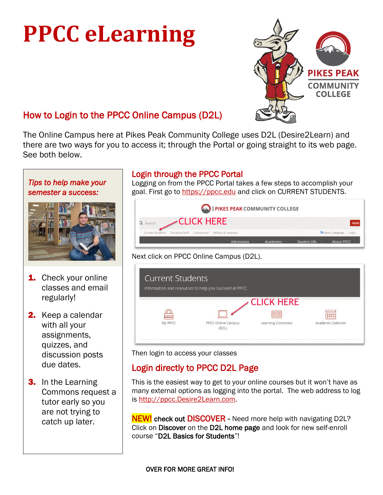# **PPCC eLearning**



# How to Login to the PPCC Online Campus (D2L)

The Online Campus here at Pikes Peak Community College uses D2L (Desire2Learn) and there are two ways for you to access it; through the Portal or going straight to its web page. See both below.

#### *Tips to help make your semester a success:*



- **1.** Check your online classes and email regularly!
- 2. Keep a calendar with all your assignments, quizzes, and discussion posts due dates.
- **3.** In the Learning Commons request a tutor early so you are not trying to catch up later.

## Login through the PPCC Portal

Logging on from the PPCC Portal takes a few steps to accomplish your goal. First go to [https://ppcc.edu](https://ppcc.edu/) and click on CURRENT STUDENTS.

|                  |                           |                   | PIKES PEAK COMMUNITY COLLEGE |           |              |                          |       |
|------------------|---------------------------|-------------------|------------------------------|-----------|--------------|--------------------------|-------|
| Q Search         |                           | <b>CLICK HERE</b> |                              |           |              |                          | Apply |
| Current Students | Faculty & Staff Community |                   | Military & Veterans          |           |              | <b>D</b> Select Language | Login |
|                  |                           |                   | <b>Admissions</b>            | Academics | Student Life | About PPCC               |       |

#### Next click on PPCC Online Campus (D2L).

| <b>Current Students</b> | Information and resources to help you succeed at PPCC. |                         |                   |
|-------------------------|--------------------------------------------------------|-------------------------|-------------------|
|                         |                                                        | <b>CLICK HERE</b>       |                   |
|                         |                                                        | ≣≣                      |                   |
| My PPCC                 | PPCC Online Campus<br>(D2L)                            | <b>Learning Commons</b> | Academic Calendar |

Then login to access your classes

# Login directly to PPCC D2L Page

This is the easiest way to get to your online courses but it won't have as many external options as logging into the portal. The web address to log is [http://ppcc.Desire2Learn.com.](http://ppcc.desire2learn.com/)

**NEW!** check out **DISCOVER** - Need more help with navigating D2L? Click on Discover on the D2L home page and look for new self-enroll course "D2L Basics for Students"!